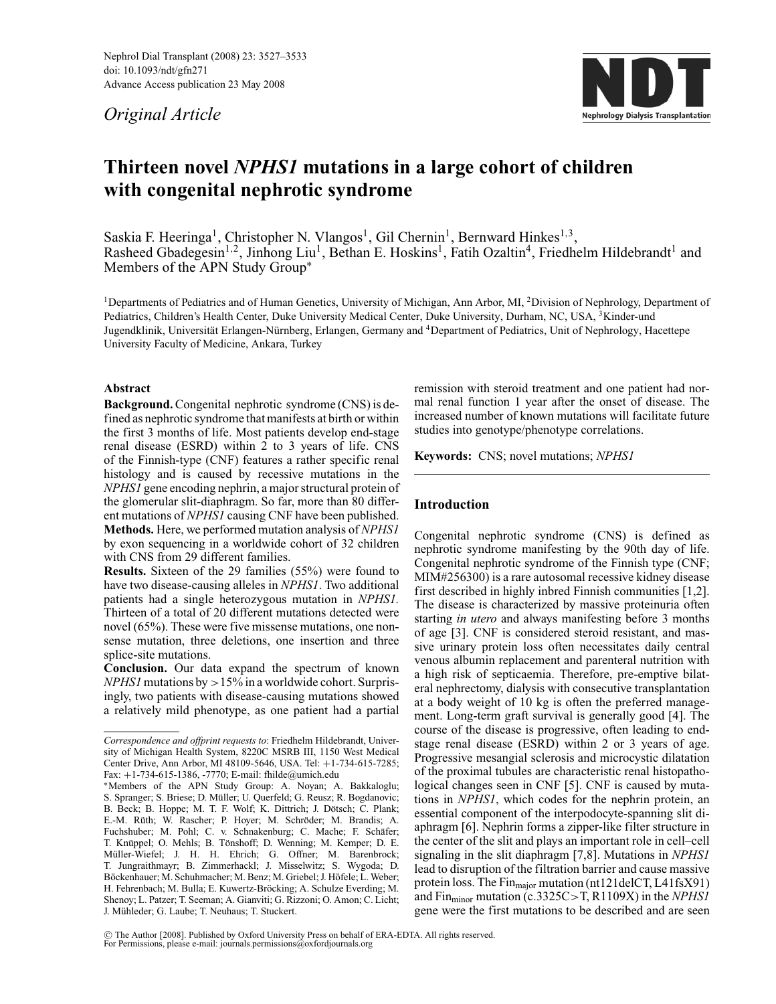Nephrol Dial Transplant (2008) 23: 3527–3533 doi: 10.1093/ndt/gfn271 Advance Access publication 23 May 2008

*Original Article*



# **Thirteen novel** *NPHS1* **mutations in a large cohort of children with congenital nephrotic syndrome**

Saskia F. Heeringa<sup>1</sup>, Christopher N. Vlangos<sup>1</sup>, Gil Chernin<sup>1</sup>, Bernward Hinkes<sup>1,3</sup>, Rasheed Gbadegesin<sup>1,2</sup>, Jinhong Liu<sup>1</sup>, Bethan E. Hoskins<sup>1</sup>, Fatih Ozaltin<sup>4</sup>, Friedhelm Hildebrandt<sup>1</sup> and Members of the APN Study Group∗

<sup>1</sup>Departments of Pediatrics and of Human Genetics, University of Michigan, Ann Arbor, MI, <sup>2</sup>Division of Nephrology, Department of Pediatrics, Children's Health Center, Duke University Medical Center, Duke University, Durham, NC, USA, <sup>3</sup>Kinder-und Jugendklinik, Universität Erlangen-Nürnberg, Erlangen, Germany and <sup>4</sup>Department of Pediatrics, Unit of Nephrology, Hacettepe University Faculty of Medicine, Ankara, Turkey

# **Abstract**

**Background.**Congenital nephrotic syndrome (CNS) is defined as nephrotic syndrome that manifests at birth or within the first 3 months of life. Most patients develop end-stage renal disease (ESRD) within 2 to 3 years of life. CNS of the Finnish-type (CNF) features a rather specific renal histology and is caused by recessive mutations in the *NPHS1* gene encoding nephrin, a major structural protein of the glomerular slit-diaphragm. So far, more than 80 different mutations of *NPHS1* causing CNF have been published. **Methods.** Here, we performed mutation analysis of *NPHS1* by exon sequencing in a worldwide cohort of 32 children with CNS from 29 different families.

**Results.** Sixteen of the 29 families (55%) were found to have two disease-causing alleles in *NPHS1*. Two additional patients had a single heterozygous mutation in *NPHS1.* Thirteen of a total of 20 different mutations detected were novel (65%). These were five missense mutations, one nonsense mutation, three deletions, one insertion and three splice-site mutations.

**Conclusion.** Our data expand the spectrum of known *NPHS1* mutations by >15% in a worldwide cohort. Surprisingly, two patients with disease-causing mutations showed a relatively mild phenotype, as one patient had a partial remission with steroid treatment and one patient had normal renal function 1 year after the onset of disease. The increased number of known mutations will facilitate future studies into genotype/phenotype correlations.

**Keywords:** CNS; novel mutations; *NPHS1*

# **Introduction**

Congenital nephrotic syndrome (CNS) is defined as nephrotic syndrome manifesting by the 90th day of life. Congenital nephrotic syndrome of the Finnish type (CNF; MIM#256300) is a rare autosomal recessive kidney disease first described in highly inbred Finnish communities [1,2]. The disease is characterized by massive proteinuria often starting *in utero* and always manifesting before 3 months of age [3]. CNF is considered steroid resistant, and massive urinary protein loss often necessitates daily central venous albumin replacement and parenteral nutrition with a high risk of septicaemia. Therefore, pre-emptive bilateral nephrectomy, dialysis with consecutive transplantation at a body weight of 10 kg is often the preferred management. Long-term graft survival is generally good [4]. The course of the disease is progressive, often leading to endstage renal disease (ESRD) within 2 or 3 years of age. Progressive mesangial sclerosis and microcystic dilatation of the proximal tubules are characteristic renal histopathological changes seen in CNF [5]. CNF is caused by mutations in *NPHS1*, which codes for the nephrin protein, an essential component of the interpodocyte-spanning slit diaphragm [6]. Nephrin forms a zipper-like filter structure in the center of the slit and plays an important role in cell–cell signaling in the slit diaphragm [7,8]. Mutations in *NPHS1* lead to disruption of the filtration barrier and cause massive protein loss. The Fin<sub>major</sub> mutation (nt121delCT, L41fsX91) and Fin<sub>minor</sub> mutation (c.3325C>T, R1109X) in the *NPHS1* gene were the first mutations to be described and are seen

*Correspondence and offprint requests to*: Friedhelm Hildebrandt, University of Michigan Health System, 8220C MSRB III, 1150 West Medical Center Drive, Ann Arbor, MI 48109-5646, USA. Tel: +1-734-615-7285; Fax: +1-734-615-1386, -7770; E-mail: fhilde@umich.edu

<sup>\*</sup>Members of the APN Study Group: A. Noyan; A. Bakkaloglu; S. Spranger; S. Briese; D. Müller; U. Querfeld; G. Reusz; R. Bogdanovic; B. Beck; B. Hoppe; M. T. F. Wolf; K. Dittrich; J. Dötsch; C. Plank; E.-M. Rüth; W. Rascher; P. Hoyer; M. Schröder; M. Brandis; A. Fuchshuber; M. Pohl; C. v. Schnakenburg; C. Mache; F. Schäfer; T. Knüppel; O. Mehls; B. Tönshoff; D. Wenning; M. Kemper; D. E. Müller-Wiefel; J. H. H. Ehrich; G. Offner; M. Barenbrock; T. Jungraithmayr; B. Zimmerhackl; J. Misselwitz; S. Wygoda; D. Böckenhauer; M. Schuhmacher; M. Benz; M. Griebel; J. Höfele; L. Weber; H. Fehrenbach; M. Bulla; E. Kuwertz-Brocking; A. Schulze Everding; M. ¨ Shenoy; L. Patzer; T. Seeman; A. Gianviti; G. Rizzoni; O. Amon; C. Licht; J. Mühleder; G. Laube; T. Neuhaus; T. Stuckert.

<sup>-</sup><sup>C</sup> The Author [2008]. Published by Oxford University Press on behalf of ERA-EDTA. All rights reserved. For Permissions, please e-mail: journals.permissions@oxfordjournals.org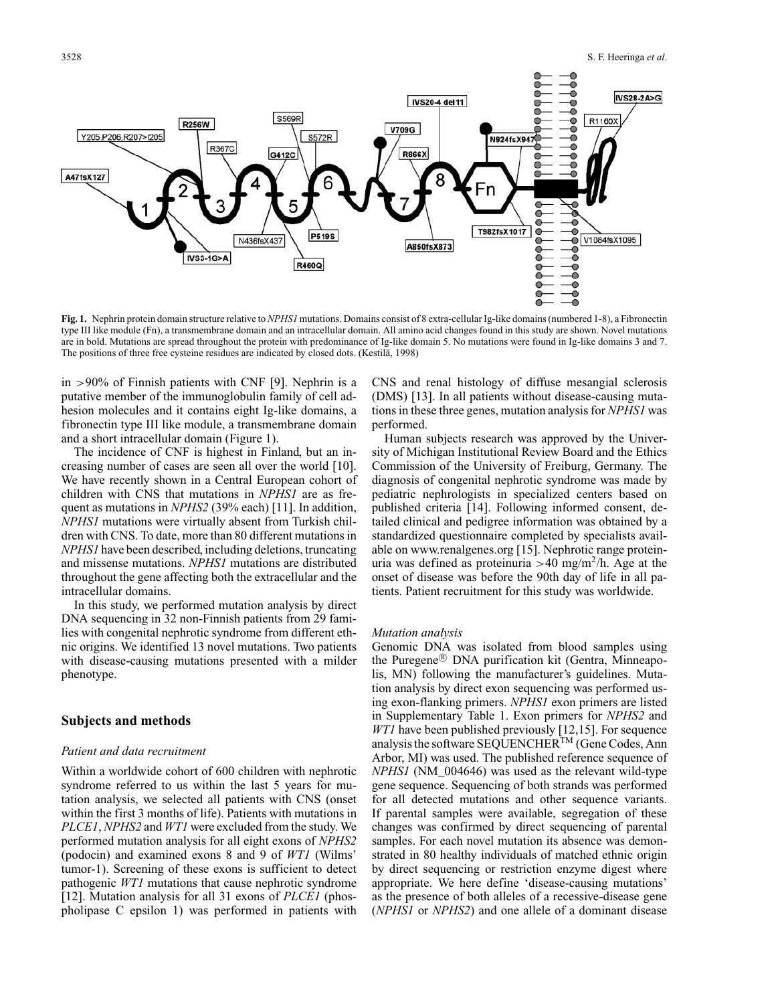

**Fig. 1.** Nephrin protein domain structure relative to *NPHS1* mutations. Domains consist of 8 extra-cellular Ig-like domains (numbered 1-8), a Fibronectin type III like module (Fn), a transmembrane domain and an intracellular domain. All amino acid changes found in this study are shown. Novel mutations are in bold. Mutations are spread throughout the protein with predominance of Ig-like domain 5. No mutations were found in Ig-like domains 3 and 7. The positions of three free cysteine residues are indicated by closed dots. (Kestilä, 1998)

in >90% of Finnish patients with CNF [9]. Nephrin is a putative member of the immunoglobulin family of cell adhesion molecules and it contains eight Ig-like domains, a fibronectin type III like module, a transmembrane domain and a short intracellular domain (Figure 1).

The incidence of CNF is highest in Finland, but an increasing number of cases are seen all over the world [10]. We have recently shown in a Central European cohort of children with CNS that mutations in *NPHS1* are as frequent as mutations in *NPHS2* (39% each) [11]. In addition, *NPHS1* mutations were virtually absent from Turkish children with CNS. To date, more than 80 different mutations in *NPHS1* have been described, including deletions, truncating and missense mutations. *NPHS1* mutations are distributed throughout the gene affecting both the extracellular and the intracellular domains.

In this study, we performed mutation analysis by direct DNA sequencing in 32 non-Finnish patients from 29 families with congenital nephrotic syndrome from different ethnic origins. We identified 13 novel mutations. Two patients with disease-causing mutations presented with a milder phenotype.

### **Subjects and methods**

#### *Patient and data recruitment*

Within a worldwide cohort of 600 children with nephrotic syndrome referred to us within the last 5 years for mutation analysis, we selected all patients with CNS (onset within the first 3 months of life). Patients with mutations in *PLCE1*, *NPHS2* and *WT1* were excluded from the study. We performed mutation analysis for all eight exons of *NPHS2* (podocin) and examined exons 8 and 9 of *WT1* (Wilms' tumor-1). Screening of these exons is sufficient to detect pathogenic *WT1* mutations that cause nephrotic syndrome [12]. Mutation analysis for all 31 exons of *PLCE1* (phospholipase C epsilon 1) was performed in patients with

CNS and renal histology of diffuse mesangial sclerosis (DMS) [13]. In all patients without disease-causing mutations in these three genes, mutation analysis for *NPHS1* was performed.

Human subjects research was approved by the University of Michigan Institutional Review Board and the Ethics Commission of the University of Freiburg, Germany. The diagnosis of congenital nephrotic syndrome was made by pediatric nephrologists in specialized centers based on published criteria [14]. Following informed consent, detailed clinical and pedigree information was obtained by a standardized questionnaire completed by specialists available on www.renalgenes.org [15]. Nephrotic range proteinuria was defined as proteinuria >40 mg/m<sup>2</sup>/h. Age at the onset of disease was before the 90th day of life in all patients. Patient recruitment for this study was worldwide.

## *Mutation analysis*

Genomic DNA was isolated from blood samples using the Puregene® DNA purification kit (Gentra, Minneapolis, MN) following the manufacturer's guidelines. Mutation analysis by direct exon sequencing was performed using exon-flanking primers. *NPHS1* exon primers are listed in Supplementary Table 1. Exon primers for *NPHS2* and *WT1* have been published previously [12,15]. For sequence analysis the software SEQUENCHER<sup>TM</sup> (Gene Codes, Ann Arbor, MI) was used. The published reference sequence of *NPHS1* (NM\_004646) was used as the relevant wild-type gene sequence. Sequencing of both strands was performed for all detected mutations and other sequence variants. If parental samples were available, segregation of these changes was confirmed by direct sequencing of parental samples. For each novel mutation its absence was demonstrated in 80 healthy individuals of matched ethnic origin by direct sequencing or restriction enzyme digest where appropriate. We here define 'disease-causing mutations' as the presence of both alleles of a recessive-disease gene (*NPHS1* or *NPHS2*) and one allele of a dominant disease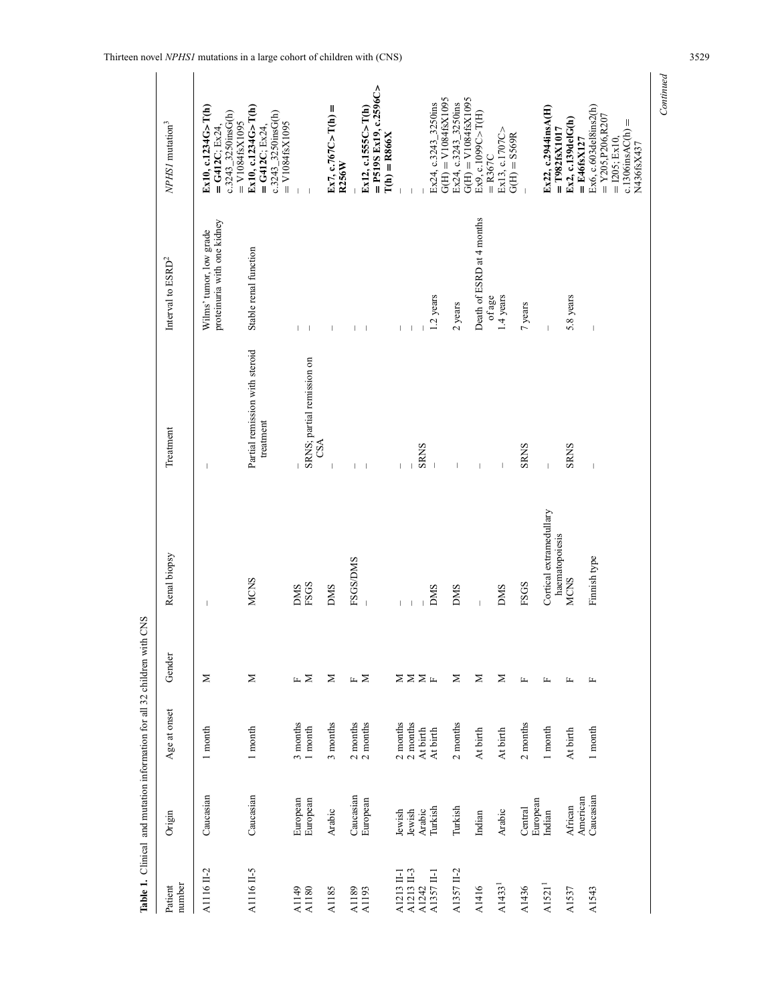|                    |                      |                       | <b>Table 1.</b> Clinical and mutation information for all 32 children with CNS |                                           |                                              |                                                                   |                                                                                                      |
|--------------------|----------------------|-----------------------|--------------------------------------------------------------------------------|-------------------------------------------|----------------------------------------------|-------------------------------------------------------------------|------------------------------------------------------------------------------------------------------|
| number<br>Patient  | Origin               | Age at onset          | Gender                                                                         | Renal biopsy                              | Treatment                                    | Interval to ESRD <sup>2</sup>                                     | NPHS1 mutation <sup>3</sup>                                                                          |
| A1116 II-2         | Caucasian            | 1 month               | Σ                                                                              |                                           |                                              | proteinuria with one kidney<br>Wilms' tumor, low grade            | $E_x10, c.1234G > T(h)$<br>c.3243_3250insG(h)<br>$=$ G412C: Ex24,                                    |
| A1116 II-5         | Caucasian            | 1 month               | Σ                                                                              | <b>MCNS</b>                               | Partial remission with steroid<br>treatment  | Stable renal function                                             | Ex10, c.1234G>T(h)<br>c.3243_3250insG(h)<br>$=$ V1084fsX1095<br>$=$ V1084fsX1095<br>$=$ G412C; Ex24, |
| A1180<br>A1149     | European<br>European | 3 months<br>$1$ month | μ Σ                                                                            | FSGS<br><b>DMS</b>                        | SRNS; partial remission on<br>$\overline{1}$ | $\begin{array}{c} \hline \end{array}$<br>$\overline{\phantom{a}}$ |                                                                                                      |
| A1185              | Arabic               | 3 months              | Σ                                                                              | <b>DMS</b>                                | CSA                                          | т                                                                 | $Ex7, c.767C > T(h) =$                                                                               |
| A1189              | Caucasian            | 2 months              |                                                                                | <b>FSGS/DMS</b>                           |                                              | T                                                                 | R256W                                                                                                |
| A1193              | European             | 2 months              | $\mathbb{E} \ \mathbb{E}$                                                      |                                           | $\mathbf{I}$                                 | T                                                                 | $=$ P519S Ex19, c.2596C><br>Ex12, c.1555C > T(h)<br>$T(h) = R866X$                                   |
| A1213 II-1         | Jewish               | 2 months              |                                                                                |                                           |                                              | $\overline{\phantom{a}}$                                          |                                                                                                      |
| A1213 II-3         | Jewish               | 2 months              | $\Sigma \Sigma \Sigma$                                                         |                                           |                                              |                                                                   |                                                                                                      |
| A1242              | Arabic               | At birth              |                                                                                |                                           | <b>SRNS</b>                                  |                                                                   |                                                                                                      |
| A1357 II-1         | Turkish              | At birth              |                                                                                | <b>DMS</b>                                |                                              | 1.2 years                                                         | $G(H) = V1084f_5X1095$<br>Ex24, c.3243_3250ins                                                       |
| A1357 II-2         | Turkish              | 2 months              | $\geq$                                                                         | <b>DMS</b>                                |                                              | 2 years                                                           | Ex24, c.3243_3250ins                                                                                 |
| A1416              | Indian               | At birth              | Σ                                                                              |                                           | T                                            | Death of ESRD at 4 months                                         | $G(H) = V1084f_5X1095$<br>Ex9, c.1099C>T(H)                                                          |
| A1433 <sup>1</sup> | Arabic               | At birth              | Σ                                                                              | <b>DMS</b>                                |                                              | 1.4 years<br>of age                                               | Ex13, c.1707C><br>$=$ R367C                                                                          |
| A1436              | Central              | 2 months              | $\mathbf{L}$                                                                   | FSGS                                      | <b>SRNS</b>                                  | 7 years                                                           | $G(H) = S569R$                                                                                       |
| A1521 <sup>1</sup> | European<br>Indian   | $1$ month             | $\mathbf{L}$                                                                   | Cortical extramedullary<br>haematopoiesis | $\bar{\phantom{a}}$                          | $\overline{1}$                                                    | Ex22, c.2944insA(H)<br>$= T982$ fsX1017                                                              |
| A1537              | American<br>African  | At birth              | $\mathbf{L}$                                                                   | <b>MCNS</b>                               | <b>SRNS</b>                                  | 5.8 years                                                         | Ex2, c.139delG(h)<br>$= E46f_8X127$                                                                  |
| A1543              | Caucasian            | 1 month               | $\mathbf{L}$                                                                   | Finnish type                              | $\overline{1}$                               | $\bigl($                                                          | Ex6, c.603del8ins2(h)<br>$= Y205, P206, R207$<br>$= 1205;$ Ex10,                                     |
|                    |                      |                       |                                                                                |                                           |                                              |                                                                   | $c.1306$ insA $C(h)$ =<br>N436fsX437                                                                 |

Table 1. Clinical and mutation information for all 32 children with CNS

*Continued*

 $Continued$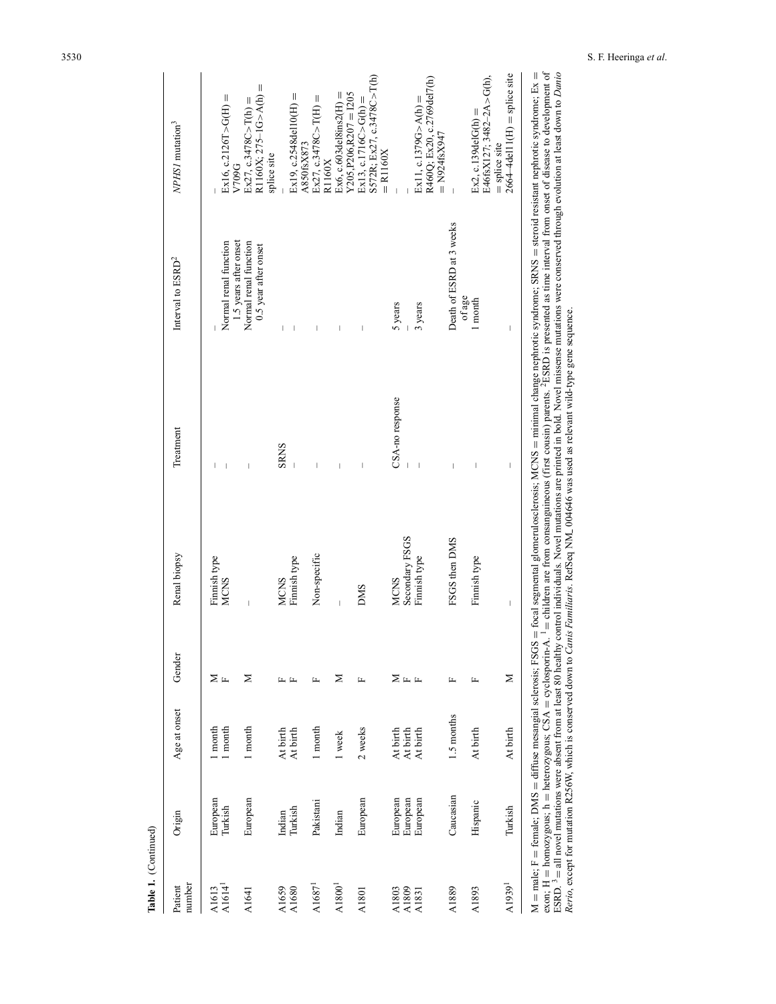| number<br>Patient           | Origin               | Age at onset         | Gender       | Renal biopsy                          | Treatment                                                                                                                                                                                                                                                                                                                                                                                                                                                                                                                                                                                                                                                                                                                                                                                                  | Interval to ESRD <sup>2</sup>                                                                                                                                                                                                                                                                                                                                                    | NPHS1 mutation <sup>3</sup>                                                                     |
|-----------------------------|----------------------|----------------------|--------------|---------------------------------------|------------------------------------------------------------------------------------------------------------------------------------------------------------------------------------------------------------------------------------------------------------------------------------------------------------------------------------------------------------------------------------------------------------------------------------------------------------------------------------------------------------------------------------------------------------------------------------------------------------------------------------------------------------------------------------------------------------------------------------------------------------------------------------------------------------|----------------------------------------------------------------------------------------------------------------------------------------------------------------------------------------------------------------------------------------------------------------------------------------------------------------------------------------------------------------------------------|-------------------------------------------------------------------------------------------------|
| A1614 <sup>1</sup><br>A1613 | European<br>Turkish  | l month<br>1 month   | $\Sigma$ in  | Finnish type<br><b>MCNS</b>           |                                                                                                                                                                                                                                                                                                                                                                                                                                                                                                                                                                                                                                                                                                                                                                                                            | 1.5 years after onset<br>Normal renal function                                                                                                                                                                                                                                                                                                                                   | $Ex16, c.2126T > G(H) =$<br>V709G                                                               |
| A1641                       | European             | 1 month              | Σ            |                                       |                                                                                                                                                                                                                                                                                                                                                                                                                                                                                                                                                                                                                                                                                                                                                                                                            | Normal renal function<br>0.5 year after onset                                                                                                                                                                                                                                                                                                                                    | $R1160X$ ; 275-1G > A(h) =<br>$Ex27, c.3478C > T(h) =$                                          |
| A1659<br>A1680              | Turkish<br>Indian    | At birth<br>At birth | 圧 圧          | Finnish type<br><b>MCNS</b>           | <b>SRNS</b>                                                                                                                                                                                                                                                                                                                                                                                                                                                                                                                                                                                                                                                                                                                                                                                                |                                                                                                                                                                                                                                                                                                                                                                                  | Ex19, c.2548del10(H) =<br>splice site                                                           |
| A1687 <sup>1</sup>          | Pakistani            | 1 month              | щ            | Non-specific                          |                                                                                                                                                                                                                                                                                                                                                                                                                                                                                                                                                                                                                                                                                                                                                                                                            |                                                                                                                                                                                                                                                                                                                                                                                  | $Ex27, c.3478C > T(H) =$<br>A850fsX873<br>R1160X                                                |
| A1800 <sup>1</sup>          | Indian               | 1 week               | z            |                                       |                                                                                                                                                                                                                                                                                                                                                                                                                                                                                                                                                                                                                                                                                                                                                                                                            |                                                                                                                                                                                                                                                                                                                                                                                  | Ex6, c.603del8ins2 $(H)$ =                                                                      |
| A1801                       | European             | 2 weeks              | $\mathbf{L}$ | <b>DMS</b>                            |                                                                                                                                                                                                                                                                                                                                                                                                                                                                                                                                                                                                                                                                                                                                                                                                            |                                                                                                                                                                                                                                                                                                                                                                                  | $S572R$ ; Ex27, c.3478C>T(h)<br>$Y205, P206, R207 = 1205$<br>Ex13, c.1716C>G(h) =<br>$=$ R1160X |
| A1809<br>A1803              | European<br>European | At birth<br>At birth | ∑டங          | Secondary FSGS<br><b>MCNS</b>         | CSA-no response                                                                                                                                                                                                                                                                                                                                                                                                                                                                                                                                                                                                                                                                                                                                                                                            | 5 years                                                                                                                                                                                                                                                                                                                                                                          |                                                                                                 |
| A1831                       | European             | At birth             |              | Finnish type                          |                                                                                                                                                                                                                                                                                                                                                                                                                                                                                                                                                                                                                                                                                                                                                                                                            | 3 years                                                                                                                                                                                                                                                                                                                                                                          | R460Q; Ex20, c.2769del7(h)<br>Ex11, c.1379G>A(h) =                                              |
| A1889                       | Caucasian            | 1.5 months           | щ            | FSGS then DMS                         |                                                                                                                                                                                                                                                                                                                                                                                                                                                                                                                                                                                                                                                                                                                                                                                                            | Death of ESRD at 3 weeks                                                                                                                                                                                                                                                                                                                                                         | $=N92468X947$                                                                                   |
| A1893                       | Hispanic             | At birth             | 山            | Finnish type                          |                                                                                                                                                                                                                                                                                                                                                                                                                                                                                                                                                                                                                                                                                                                                                                                                            | of age<br>1 month                                                                                                                                                                                                                                                                                                                                                                | E46fsX127; 3482-2A>G(h),<br>Ex2, c.139delG(h) $=$                                               |
| A1939 <sup>1</sup>          | Turkish              | At birth             | Σ            | $\begin{array}{c} \hline \end{array}$ | I                                                                                                                                                                                                                                                                                                                                                                                                                                                                                                                                                                                                                                                                                                                                                                                                          | $\begin{array}{c} \rule{0pt}{2.5ex} \rule{0pt}{2.5ex} \rule{0pt}{2.5ex} \rule{0pt}{2.5ex} \rule{0pt}{2.5ex} \rule{0pt}{2.5ex} \rule{0pt}{2.5ex} \rule{0pt}{2.5ex} \rule{0pt}{2.5ex} \rule{0pt}{2.5ex} \rule{0pt}{2.5ex} \rule{0pt}{2.5ex} \rule{0pt}{2.5ex} \rule{0pt}{2.5ex} \rule{0pt}{2.5ex} \rule{0pt}{2.5ex} \rule{0pt}{2.5ex} \rule{0pt}{2.5ex} \rule{0pt}{2.5ex} \rule{0$ | $2664 - 4$ del1 $(H)$ = splice site<br>= splice site                                            |
|                             |                      |                      |              |                                       | exon; $H =$ homozygous; $h =$ heterozygous; CSA = cyclosporin-A. $l =$ children are from consanguineous (first cousin) parents. <sup>2</sup> ESRD is presented as time interval from onset of disease to development of<br>ESRD. <sup>3</sup> = all novel mutations were absent from at least 80 healthy control individuals. Novel mutations are printed in bold. Novel missense mutations were conserved through evolution at least down to Danio<br>$M = mal$ e; F = female; DMS = diffuse mesangial sclerosis; FSGS = focal segmental glomerulosclerosis; MCNS = minimal change nephrotic syndrome; SRNS = steroid resistant nephrotic syndrome; Ex =<br>Rerio, except for mutation R256W, which is conserved down to Canis Familiaris. RefSeq NM_004646 was used as relevant wild-type gene sequence. |                                                                                                                                                                                                                                                                                                                                                                                  | 5. г. п                                                                                         |
|                             |                      |                      |              |                                       |                                                                                                                                                                                                                                                                                                                                                                                                                                                                                                                                                                                                                                                                                                                                                                                                            |                                                                                                                                                                                                                                                                                                                                                                                  |                                                                                                 |

3530 S. F. Heeringa *et al* .

**Table 1.** (Continued)

Table 1. (Continued)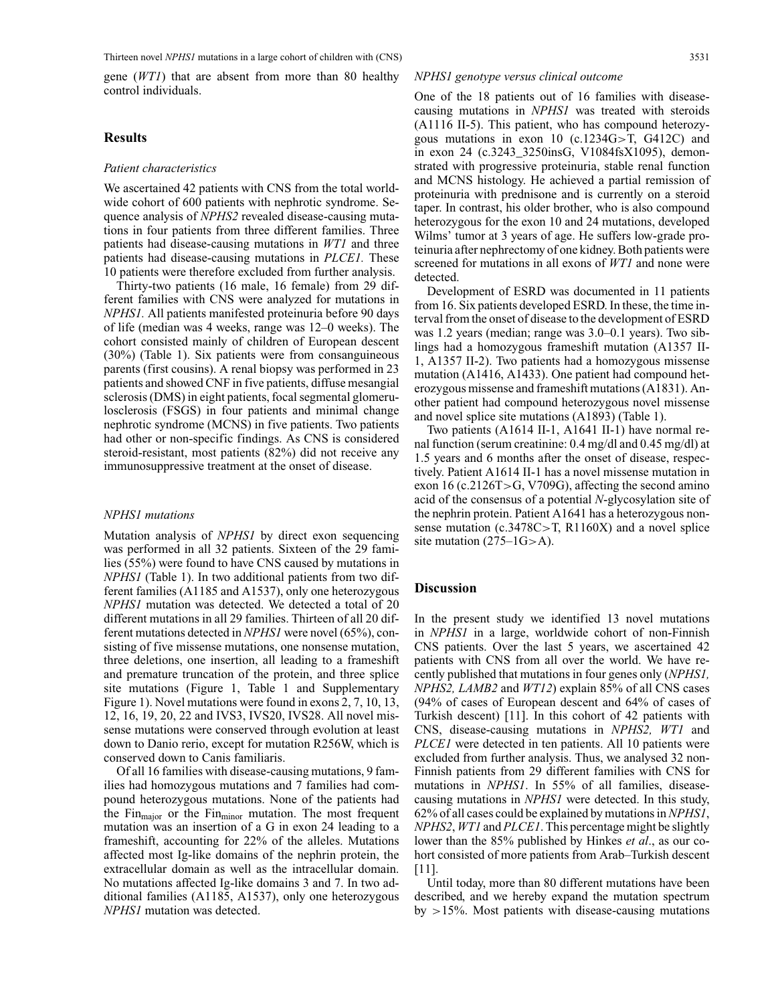gene (*WT1*) that are absent from more than 80 healthy control individuals.

# **Results**

### *Patient characteristics*

We ascertained 42 patients with CNS from the total worldwide cohort of 600 patients with nephrotic syndrome. Sequence analysis of *NPHS2* revealed disease-causing mutations in four patients from three different families. Three patients had disease-causing mutations in *WT1* and three patients had disease-causing mutations in *PLCE1.* These 10 patients were therefore excluded from further analysis.

Thirty-two patients (16 male, 16 female) from 29 different families with CNS were analyzed for mutations in *NPHS1.* All patients manifested proteinuria before 90 days of life (median was 4 weeks, range was 12–0 weeks). The cohort consisted mainly of children of European descent (30%) (Table 1). Six patients were from consanguineous parents (first cousins). A renal biopsy was performed in 23 patients and showed CNF in five patients, diffuse mesangial sclerosis (DMS) in eight patients, focal segmental glomerulosclerosis (FSGS) in four patients and minimal change nephrotic syndrome (MCNS) in five patients. Two patients had other or non-specific findings. As CNS is considered steroid-resistant, most patients (82%) did not receive any immunosuppressive treatment at the onset of disease.

#### *NPHS1 mutations*

Mutation analysis of *NPHS1* by direct exon sequencing was performed in all 32 patients. Sixteen of the 29 families (55%) were found to have CNS caused by mutations in *NPHS1* (Table 1). In two additional patients from two different families (A1185 and A1537), only one heterozygous *NPHS1* mutation was detected. We detected a total of 20 different mutations in all 29 families. Thirteen of all 20 different mutations detected in *NPHS1* were novel (65%), consisting of five missense mutations, one nonsense mutation, three deletions, one insertion, all leading to a frameshift and premature truncation of the protein, and three splice site mutations (Figure 1, Table 1 and Supplementary Figure 1). Novel mutations were found in exons 2, 7, 10, 13, 12, 16, 19, 20, 22 and IVS3, IVS20, IVS28. All novel missense mutations were conserved through evolution at least down to Danio rerio, except for mutation R256W, which is conserved down to Canis familiaris.

Of all 16 families with disease-causing mutations, 9 families had homozygous mutations and 7 families had compound heterozygous mutations. None of the patients had the Fin<sub>major</sub> or the Fin<sub>minor</sub> mutation. The most frequent mutation was an insertion of a G in exon 24 leading to a frameshift, accounting for 22% of the alleles. Mutations affected most Ig-like domains of the nephrin protein, the extracellular domain as well as the intracellular domain. No mutations affected Ig-like domains 3 and 7. In two additional families (A1185, A1537), only one heterozygous *NPHS1* mutation was detected.

#### *NPHS1 genotype versus clinical outcome*

One of the 18 patients out of 16 families with diseasecausing mutations in *NPHS1* was treated with steroids (A1116 II-5). This patient, who has compound heterozygous mutations in exon 10 (c.1234G>T, G412C) and in exon 24 (c.3243\_3250insG, V1084fsX1095), demonstrated with progressive proteinuria, stable renal function and MCNS histology. He achieved a partial remission of proteinuria with prednisone and is currently on a steroid taper. In contrast, his older brother, who is also compound heterozygous for the exon 10 and 24 mutations, developed Wilms' tumor at 3 years of age. He suffers low-grade proteinuria after nephrectomy of one kidney. Both patients were screened for mutations in all exons of *WT1* and none were detected.

Development of ESRD was documented in 11 patients from 16. Six patients developed ESRD. In these, the time interval from the onset of disease to the development of ESRD was 1.2 years (median; range was 3.0–0.1 years). Two siblings had a homozygous frameshift mutation (A1357 II-1, A1357 II-2). Two patients had a homozygous missense mutation (A1416, A1433). One patient had compound heterozygous missense and frameshift mutations (A1831). Another patient had compound heterozygous novel missense and novel splice site mutations (A1893) (Table 1).

Two patients (A1614 II-1, A1641 II-1) have normal renal function (serum creatinine: 0.4 mg/dl and 0.45 mg/dl) at 1.5 years and 6 months after the onset of disease, respectively. Patient A1614 II-1 has a novel missense mutation in exon 16 (c.2126T>G, V709G), affecting the second amino acid of the consensus of a potential *N*-glycosylation site of the nephrin protein. Patient A1641 has a heterozygous nonsense mutation (c.3478C $>$ T, R1160X) and a novel splice site mutation  $(275-1G>A)$ .

#### **Discussion**

In the present study we identified 13 novel mutations in *NPHS1* in a large, worldwide cohort of non-Finnish CNS patients. Over the last 5 years, we ascertained 42 patients with CNS from all over the world. We have recently published that mutations in four genes only (*NPHS1, NPHS2, LAMB2* and *WT12*) explain 85% of all CNS cases (94% of cases of European descent and 64% of cases of Turkish descent) [11]. In this cohort of 42 patients with CNS, disease-causing mutations in *NPHS2, WT1* and *PLCE1* were detected in ten patients. All 10 patients were excluded from further analysis. Thus, we analysed 32 non-Finnish patients from 29 different families with CNS for mutations in *NPHS1*. In 55% of all families, diseasecausing mutations in *NPHS1* were detected. In this study, 62% of all cases could be explained by mutations in*NPHS1*, *NPHS2*, *WT1* and *PLCE1*. This percentage might be slightly lower than the 85% published by Hinkes *et al*., as our cohort consisted of more patients from Arab–Turkish descent [11].

Until today, more than 80 different mutations have been described, and we hereby expand the mutation spectrum  $by >15\%$ . Most patients with disease-causing mutations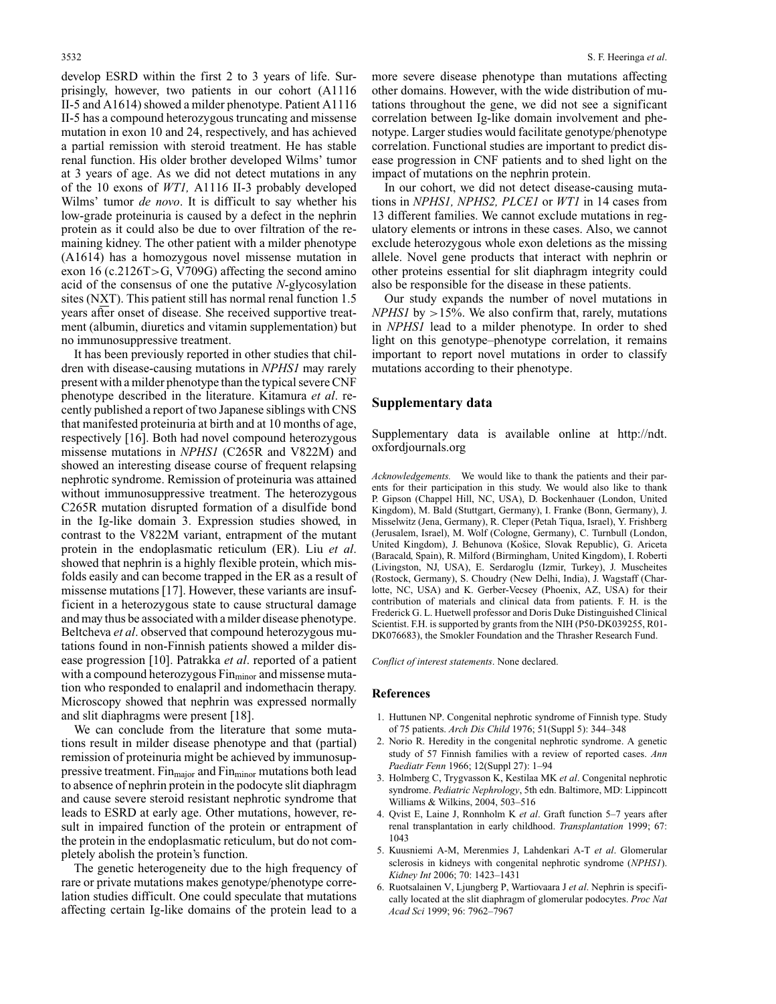develop ESRD within the first 2 to 3 years of life. Surprisingly, however, two patients in our cohort (A1116 II-5 and A1614) showed a milder phenotype. Patient A1116 II-5 has a compound heterozygous truncating and missense mutation in exon 10 and 24, respectively, and has achieved a partial remission with steroid treatment. He has stable renal function. His older brother developed Wilms' tumor at 3 years of age. As we did not detect mutations in any of the 10 exons of *WT1,* A1116 II-3 probably developed Wilms' tumor *de novo*. It is difficult to say whether his low-grade proteinuria is caused by a defect in the nephrin protein as it could also be due to over filtration of the remaining kidney. The other patient with a milder phenotype (A1614) has a homozygous novel missense mutation in exon 16 (c.2126T>G, V709G) affecting the second amino acid of the consensus of one the putative *N*-glycosylation sites (NXT). This patient still has normal renal function 1.5 years after onset of disease. She received supportive treatment (albumin, diuretics and vitamin supplementation) but no immunosuppressive treatment.

It has been previously reported in other studies that children with disease-causing mutations in *NPHS1* may rarely present with a milder phenotype than the typical severe CNF phenotype described in the literature. Kitamura *et al*. recently published a report of two Japanese siblings with CNS that manifested proteinuria at birth and at 10 months of age, respectively [16]. Both had novel compound heterozygous missense mutations in *NPHS1* (C265R and V822M) and showed an interesting disease course of frequent relapsing nephrotic syndrome. Remission of proteinuria was attained without immunosuppressive treatment. The heterozygous C265R mutation disrupted formation of a disulfide bond in the Ig-like domain 3. Expression studies showed, in contrast to the V822M variant, entrapment of the mutant protein in the endoplasmatic reticulum (ER). Liu *et al*. showed that nephrin is a highly flexible protein, which misfolds easily and can become trapped in the ER as a result of missense mutations [17]. However, these variants are insufficient in a heterozygous state to cause structural damage and may thus be associated with a milder disease phenotype. Beltcheva *et al*. observed that compound heterozygous mutations found in non-Finnish patients showed a milder disease progression [10]. Patrakka *et al*. reported of a patient with a compound heterozygous  $Fin<sub>minor</sub>$  and missense mutation who responded to enalapril and indomethacin therapy. Microscopy showed that nephrin was expressed normally and slit diaphragms were present [18].

We can conclude from the literature that some mutations result in milder disease phenotype and that (partial) remission of proteinuria might be achieved by immunosuppressive treatment. Fin<sub>major</sub> and Fin<sub>minor</sub> mutations both lead to absence of nephrin protein in the podocyte slit diaphragm and cause severe steroid resistant nephrotic syndrome that leads to ESRD at early age. Other mutations, however, result in impaired function of the protein or entrapment of the protein in the endoplasmatic reticulum, but do not completely abolish the protein's function.

The genetic heterogeneity due to the high frequency of rare or private mutations makes genotype/phenotype correlation studies difficult. One could speculate that mutations affecting certain Ig-like domains of the protein lead to a

more severe disease phenotype than mutations affecting other domains. However, with the wide distribution of mutations throughout the gene, we did not see a significant correlation between Ig-like domain involvement and phenotype. Larger studies would facilitate genotype/phenotype correlation. Functional studies are important to predict disease progression in CNF patients and to shed light on the impact of mutations on the nephrin protein.

In our cohort, we did not detect disease-causing mutations in *NPHS1, NPHS2, PLCE1* or *WT1* in 14 cases from 13 different families. We cannot exclude mutations in regulatory elements or introns in these cases. Also, we cannot exclude heterozygous whole exon deletions as the missing allele. Novel gene products that interact with nephrin or other proteins essential for slit diaphragm integrity could also be responsible for the disease in these patients.

Our study expands the number of novel mutations in *NPHS1* by >15%. We also confirm that, rarely, mutations in *NPHS1* lead to a milder phenotype. In order to shed light on this genotype–phenotype correlation, it remains important to report novel mutations in order to classify mutations according to their phenotype.

### **Supplementary data**

Supplementary data is available online at http://ndt. oxfordjournals.org

*Acknowledgements.* We would like to thank the patients and their parents for their participation in this study. We would also like to thank P. Gipson (Chappel Hill, NC, USA), D. Bockenhauer (London, United Kingdom), M. Bald (Stuttgart, Germany), I. Franke (Bonn, Germany), J. Misselwitz (Jena, Germany), R. Cleper (Petah Tiqua, Israel), Y. Frishberg (Jerusalem, Israel), M. Wolf (Cologne, Germany), C. Turnbull (London, United Kingdom), J. Behunova (Košice, Slovak Republic), G. Ariceta (Baracald, Spain), R. Milford (Birmingham, United Kingdom), I. Roberti (Livingston, NJ, USA), E. Serdaroglu (Izmir, Turkey), J. Muscheites (Rostock, Germany), S. Choudry (New Delhi, India), J. Wagstaff (Charlotte, NC, USA) and K. Gerber-Vecsey (Phoenix, AZ, USA) for their contribution of materials and clinical data from patients. F. H. is the Frederick G. L. Huetwell professor and Doris Duke Distinguished Clinical Scientist. F.H. is supported by grants from the NIH (P50-DK039255, R01- DK076683), the Smokler Foundation and the Thrasher Research Fund.

*Conflict of interest statements*. None declared.

#### **References**

- 1. Huttunen NP. Congenital nephrotic syndrome of Finnish type. Study of 75 patients. *Arch Dis Child* 1976; 51(Suppl 5): 344–348
- 2. Norio R. Heredity in the congenital nephrotic syndrome. A genetic study of 57 Finnish families with a review of reported cases. *Ann Paediatr Fenn* 1966; 12(Suppl 27): 1–94
- 3. Holmberg C, Trygvasson K, Kestilaa MK *et al*. Congenital nephrotic syndrome. *Pediatric Nephrology*, 5th edn. Baltimore, MD: Lippincott Williams & Wilkins, 2004, 503–516
- 4. Qvist E, Laine J, Ronnholm K *et al*. Graft function 5–7 years after renal transplantation in early childhood. *Transplantation* 1999; 67: 1043
- 5. Kuusniemi A-M, Merenmies J, Lahdenkari A-T *et al*. Glomerular sclerosis in kidneys with congenital nephrotic syndrome (*NPHS1*). *Kidney Int* 2006; 70: 1423–1431
- 6. Ruotsalainen V, Ljungberg P, Wartiovaara J *et al*. Nephrin is specifically located at the slit diaphragm of glomerular podocytes. *Proc Nat Acad Sci* 1999; 96: 7962–7967